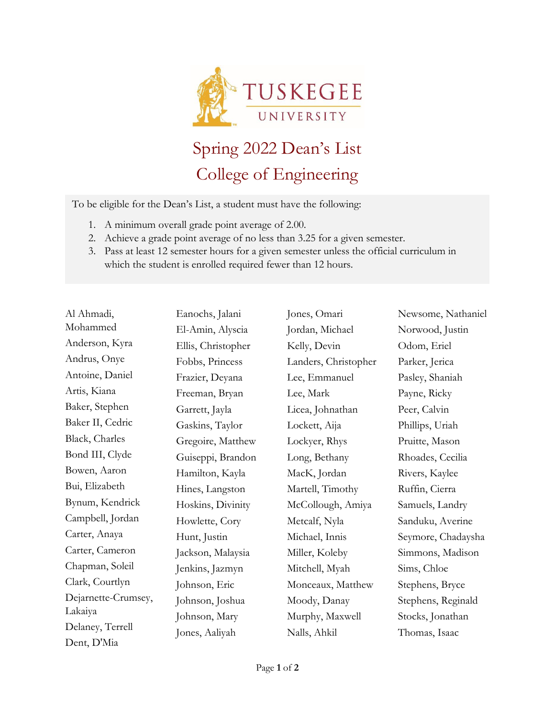

## Spring 2022 Dean's List College of Engineering

To be eligible for the Dean's List, a student must have the following:

- 1. A minimum overall grade point average of 2.00.
- 2. Achieve a grade point average of no less than 3.25 for a given semester.
- 3. Pass at least 12 semester hours for a given semester unless the official curriculum in which the student is enrolled required fewer than 12 hours.

| Al Ahmadi,          | I                        |
|---------------------|--------------------------|
| Mohammed            | I                        |
| Anderson, Kyra      | I                        |
| Andrus, Onye        | I                        |
| Antoine, Daniel     | I                        |
| Artis, Kiana        | I                        |
| Baker, Stephen      | $\overline{\mathcal{L}}$ |
| Baker II, Cedric    | $\overline{\mathcal{L}}$ |
| Black, Charles      | $\overline{\mathcal{L}}$ |
| Bond III, Clyde     | $\overline{\mathcal{L}}$ |
| Bowen, Aaron        | I                        |
| Bui, Elizabeth      | I                        |
| Bynum, Kendrick     | I                        |
| Campbell, Jordan    | I                        |
| Carter, Anaya       | I                        |
| Carter, Cameron     | J                        |
| Chapman, Soleil     | J                        |
| Clark, Courtlyn     | J                        |
| Dejarnette-Crumsey, | J                        |
| Lakaiya             | J                        |
| Delaney, Terrell    | J                        |
| Dent, D'Mia         |                          |

Eanochs, Jalani El-Amin, Alyscia Ellis, Christopher Fobbs, Princess Frazier, Deyana Freeman, Bryan Garrett, Jayla Gaskins, Taylor Gregoire, Matthew Guiseppi, Brandon Hamilton, Kayla Hines, Langston Hoskins, Divinity Howlette, Cory Hunt, Justin ackson, Malaysia Jenkins, Jazmyn ohnson, Eric Johnson, Joshua ohnson, Mary Jones, Aaliyah

Jones, Omari Jordan, Michael Kelly, Devin Landers, Christopher Lee, Emmanuel Lee, Mark Licea, Johnathan Lockett, Aija Lockyer, Rhys Long, Bethany MacK, Jordan Martell, Timothy McCollough, Amiya Metcalf, Nyla Michael, Innis Miller, Koleby Mitchell, Myah Monceaux, Matthew Moody, Danay Murphy, Maxwell Nalls, Ahkil

Newsome, Nathaniel Norwood, Justin Odom, Eriel Parker, Jerica Pasley, Shaniah Payne, Ricky Peer, Calvin Phillips, Uriah Pruitte, Mason Rhoades, Cecilia Rivers, Kaylee Ruffin, Cierra Samuels, Landry Sanduku, Averine Seymore, Chadaysha Simmons, Madison Sims, Chloe Stephens, Bryce Stephens, Reginald Stocks, Jonathan Thomas, Isaac